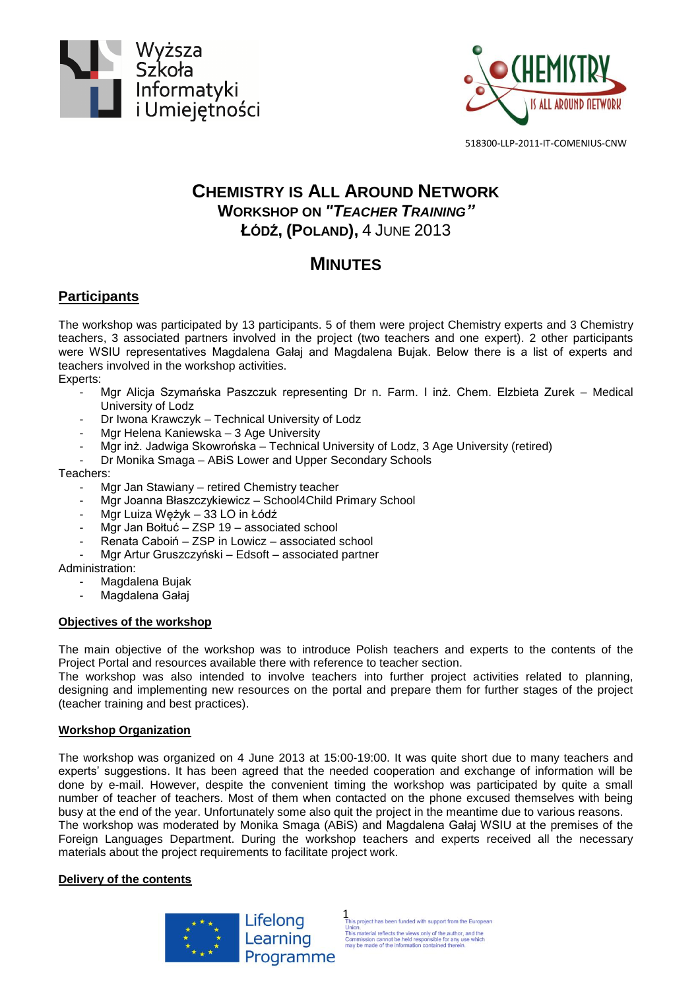



518300-LLP-2011-IT-COMENIUS-CNW

## **CHEMISTRY IS ALL AROUND NETWORK WORKSHOP ON** *"TEACHER TRAINING"* **ŁÓDŹ, (POLAND),** 4 JUNE 2013

# **MINUTES**

### **Participants**

The workshop was participated by 13 participants. 5 of them were project Chemistry experts and 3 Chemistry teachers, 3 associated partners involved in the project (two teachers and one expert). 2 other participants were WSIU representatives Magdalena Gałaj and Magdalena Bujak. Below there is a list of experts and teachers involved in the workshop activities.

#### Experts:

- Mgr Alicja Szymańska Paszczuk representing Dr n. Farm. I inż. Chem. Elzbieta Zurek Medical University of Lodz
- Dr Iwona Krawczyk Technical University of Lodz
- Mgr Helena Kaniewska 3 Age University
- Mgr inż. Jadwiga Skowrońska Technical University of Lodz, 3 Age University (retired)
- Dr Monika Smaga ABiS Lower and Upper Secondary Schools

#### Teachers:

- Mgr Jan Stawiany retired Chemistry teacher
- Mgr Joanna Błaszczykiewicz School4Child Primary School
- Mgr Luiza Wężyk 33 LO in Łódź
- Mgr Jan Bołtuć ZSP 19 associated school
- Renata Caboiń ZSP in Lowicz associated school
- Mgr Artur Gruszczyński Edsoft associated partner

Administration:

- Magdalena Bujak
- Magdalena Gałaj

#### **Objectives of the workshop**

The main objective of the workshop was to introduce Polish teachers and experts to the contents of the Project Portal and resources available there with reference to teacher section.

The workshop was also intended to involve teachers into further project activities related to planning, designing and implementing new resources on the portal and prepare them for further stages of the project (teacher training and best practices).

#### **Workshop Organization**

The workshop was organized on 4 June 2013 at 15:00-19:00. It was quite short due to many teachers and experts' suggestions. It has been agreed that the needed cooperation and exchange of information will be done by e-mail. However, despite the convenient timing the workshop was participated by quite a small number of teacher of teachers. Most of them when contacted on the phone excused themselves with being busy at the end of the year. Unfortunately some also quit the project in the meantime due to various reasons. The workshop was moderated by Monika Smaga (ABiS) and Magdalena Gałaj WSIU at the premises of the

Foreign Languages Department. During the workshop teachers and experts received all the necessary materials about the project requirements to facilitate project work.

#### **Delivery of the contents**



1 is project has been funded with support from the European This material reflects the views only of the author.<br>This material reflects the views only of the author.<br>Commission cannot be held responsible for any use which<br>may be made of the information contained therein.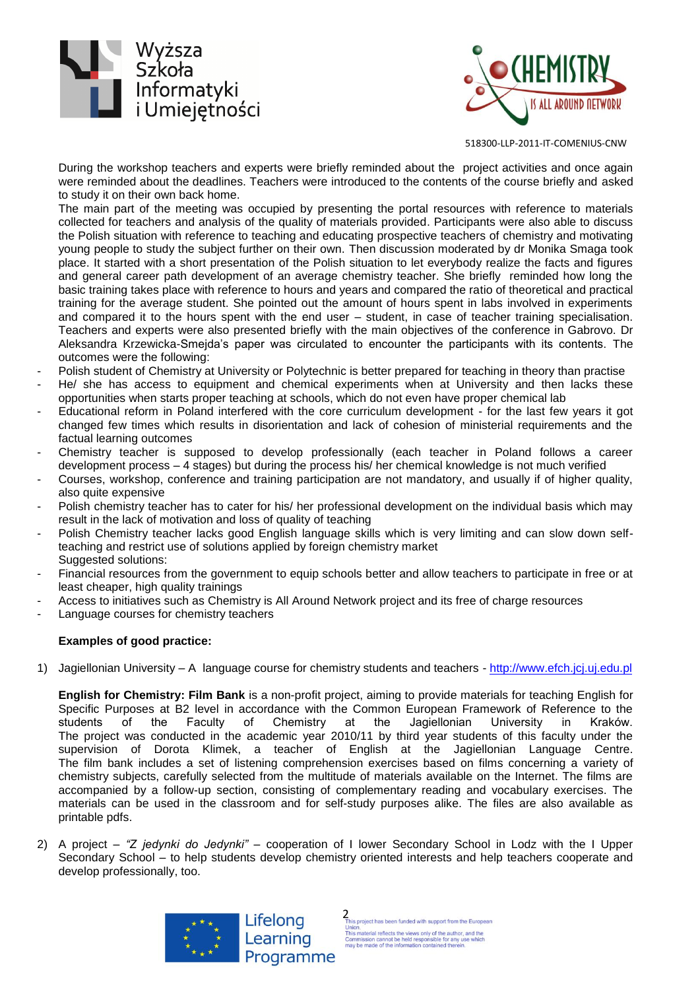



518300-LLP-2011-IT-COMENIUS-CNW

During the workshop teachers and experts were briefly reminded about the project activities and once again were reminded about the deadlines. Teachers were introduced to the contents of the course briefly and asked to study it on their own back home.

The main part of the meeting was occupied by presenting the portal resources with reference to materials collected for teachers and analysis of the quality of materials provided. Participants were also able to discuss the Polish situation with reference to teaching and educating prospective teachers of chemistry and motivating young people to study the subject further on their own. Then discussion moderated by dr Monika Smaga took place. It started with a short presentation of the Polish situation to let everybody realize the facts and figures and general career path development of an average chemistry teacher. She briefly reminded how long the basic training takes place with reference to hours and years and compared the ratio of theoretical and practical training for the average student. She pointed out the amount of hours spent in labs involved in experiments and compared it to the hours spent with the end user – student, in case of teacher training specialisation. Teachers and experts were also presented briefly with the main objectives of the conference in Gabrovo. Dr Aleksandra Krzewicka-Smejda's paper was circulated to encounter the participants with its contents. The outcomes were the following:

- Polish student of Chemistry at University or Polytechnic is better prepared for teaching in theory than practise
- He/ she has access to equipment and chemical experiments when at University and then lacks these opportunities when starts proper teaching at schools, which do not even have proper chemical lab
- Educational reform in Poland interfered with the core curriculum development for the last few years it got changed few times which results in disorientation and lack of cohesion of ministerial requirements and the factual learning outcomes
- Chemistry teacher is supposed to develop professionally (each teacher in Poland follows a career development process – 4 stages) but during the process his/ her chemical knowledge is not much verified
- Courses, workshop, conference and training participation are not mandatory, and usually if of higher quality, also quite expensive
- Polish chemistry teacher has to cater for his/ her professional development on the individual basis which may result in the lack of motivation and loss of quality of teaching
- Polish Chemistry teacher lacks good English language skills which is very limiting and can slow down selfteaching and restrict use of solutions applied by foreign chemistry market Suggested solutions:
- Financial resources from the government to equip schools better and allow teachers to participate in free or at least cheaper, high quality trainings
- Access to initiatives such as Chemistry is All Around Network project and its free of charge resources
- Language courses for chemistry teachers

#### **Examples of good practice:**

1) Jagiellonian University – A language course for chemistry students and teachers - [http://www.efch.jcj.uj.edu.pl](http://www.efch.jcj.uj.edu.pl/)

**English for Chemistry: Film Bank** is a non-profit project, aiming to provide materials for teaching English for Specific Purposes at B2 level in accordance with the Common European Framework of Reference to the students of the Faculty of Chemistry at the Jagiellonian University in Kraków. The project was conducted in the academic year 2010/11 by third year students of this faculty under the supervision of Dorota Klimek, a teacher of English at the Jagiellonian Language Centre. The film bank includes a set of listening comprehension exercises based on films concerning a variety of chemistry subjects, carefully selected from the multitude of materials available on the Internet. The films are accompanied by a follow-up section, consisting of complementary reading and vocabulary exercises. The materials can be used in the classroom and for self-study purposes alike. The files are also available as printable pdfs.

2) A project – *"Z jedynki do Jedynki"* – cooperation of I lower Secondary School in Lodz with the I Upper Secondary School – to help students develop chemistry oriented interests and help teachers cooperate and develop professionally, too.



2 is project has been funded with support from the European